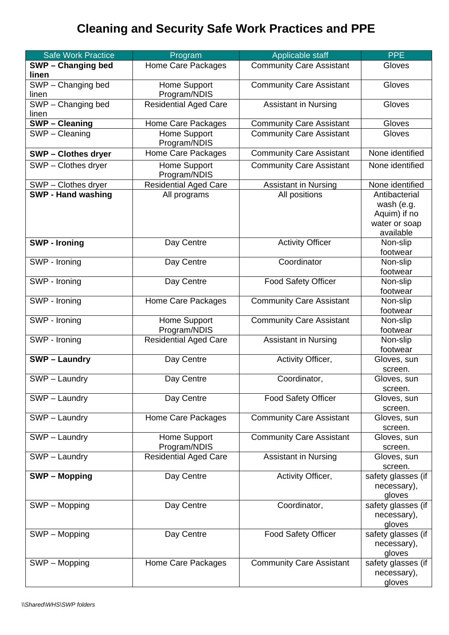## **Cleaning and Security Safe Work Practices and PPE**

| <b>Safe Work Practice</b>                  | Program                      | Applicable staff                | <b>PPE</b>             |
|--------------------------------------------|------------------------------|---------------------------------|------------------------|
| SWP - Changing bed                         | Home Care Packages           | <b>Community Care Assistant</b> | Gloves                 |
| linen                                      |                              |                                 |                        |
| SWP - Changing bed                         | Home Support                 | <b>Community Care Assistant</b> | Gloves                 |
| linen                                      | Program/NDIS                 |                                 |                        |
| SWP - Changing bed                         | <b>Residential Aged Care</b> | <b>Assistant in Nursing</b>     | Gloves                 |
| linen                                      |                              |                                 |                        |
| $\overline{\text{SWP}} - \text{C}$ leaning | Home Care Packages           | <b>Community Care Assistant</b> | Gloves                 |
| SWP - Cleaning                             | Home Support                 | <b>Community Care Assistant</b> | Gloves                 |
|                                            | Program/NDIS                 |                                 | None identified        |
| <b>SWP-Clothes dryer</b>                   | Home Care Packages           | <b>Community Care Assistant</b> |                        |
| SWP - Clothes dryer                        | Home Support<br>Program/NDIS | <b>Community Care Assistant</b> | None identified        |
| SWP - Clothes dryer                        | <b>Residential Aged Care</b> | <b>Assistant in Nursing</b>     | None identified        |
| <b>SWP - Hand washing</b>                  | All programs                 | All positions                   | Antibacterial          |
|                                            |                              |                                 | wash (e.g.             |
|                                            |                              |                                 | Aquim) if no           |
|                                            |                              |                                 | water or soap          |
|                                            |                              |                                 | available              |
| <b>SWP - Ironing</b>                       | Day Centre                   | <b>Activity Officer</b>         | Non-slip<br>footwear   |
| SWP - Ironing                              | Day Centre                   | Coordinator                     | Non-slip               |
|                                            |                              |                                 | footwear               |
| SWP - Ironing                              | Day Centre                   | <b>Food Safety Officer</b>      | Non-slip               |
|                                            |                              |                                 | footwear               |
| SWP - Ironing                              | Home Care Packages           | <b>Community Care Assistant</b> | Non-slip               |
|                                            |                              |                                 | footwear               |
| SWP - Ironing                              | Home Support                 | <b>Community Care Assistant</b> | Non-slip               |
|                                            | Program/NDIS                 |                                 | footwear               |
| SWP - Ironing                              | <b>Residential Aged Care</b> | <b>Assistant in Nursing</b>     | Non-slip               |
|                                            |                              |                                 | footwear               |
| <b>SWP-Laundry</b>                         | Day Centre                   | Activity Officer,               | Gloves, sun            |
|                                            |                              |                                 | screen.                |
| SWP - Laundry                              | Day Centre                   | Coordinator,                    | Gloves, sun            |
| SWP - Laundry                              | Day Centre                   | <b>Food Safety Officer</b>      | screen.<br>Gloves, sun |
|                                            |                              |                                 | screen.                |
| SWP - Laundry                              | Home Care Packages           | <b>Community Care Assistant</b> | Gloves, sun            |
|                                            |                              |                                 | screen.                |
| SWP - Laundry                              | Home Support                 | <b>Community Care Assistant</b> | Gloves, sun            |
|                                            | Program/NDIS                 |                                 | screen.                |
| SWP - Laundry                              | <b>Residential Aged Care</b> | <b>Assistant in Nursing</b>     | Gloves, sun            |
|                                            |                              |                                 | screen.                |
| <b>SWP-Mopping</b>                         | Day Centre                   | Activity Officer,               | safety glasses (if     |
|                                            |                              |                                 | necessary),            |
|                                            |                              |                                 | gloves                 |
| SWP - Mopping                              | Day Centre                   | Coordinator,                    | safety glasses (if     |
|                                            |                              |                                 | necessary),<br>gloves  |
| SWP - Mopping                              | Day Centre                   | <b>Food Safety Officer</b>      | safety glasses (if     |
|                                            |                              |                                 | necessary),            |
|                                            |                              |                                 | gloves                 |
| SWP - Mopping                              | Home Care Packages           | <b>Community Care Assistant</b> | safety glasses (if     |
|                                            |                              |                                 | necessary),            |
|                                            |                              |                                 | gloves                 |